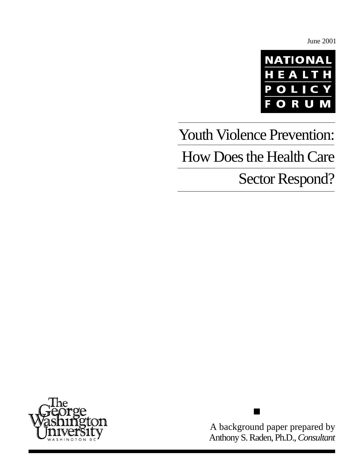June 2001



# Youth Violence Prevention: How Does the Health Care

# Sector Respond?



A background paper prepared by Anthony S. Raden, Ph.D., *Consultant*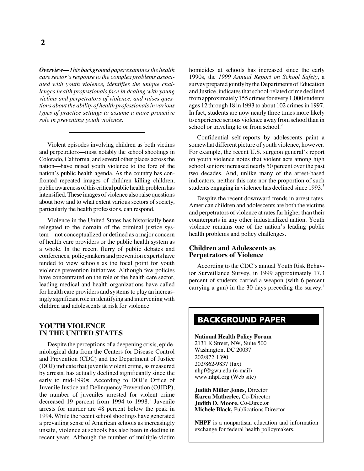*Overview—This background paper examines the health care sector's response to the complex problems associated with youth violence, identifies the unique challenges health professionals face in dealing with young victims and perpetrators of violence, and raises questions about the ability of health professionals in various types of practice settings to assume a more proactive role in preventing youth violence.*

Violent episodes involving children as both victims and perpetrators—most notably the school shootings in Colorado, California, and several other places across the nation—have raised youth violence to the fore of the nation's public health agenda. As the country has confronted repeated images of children killing children, public awareness of this critical public health problem has intensified. These images of violence also raise questions about how and to what extent various sectors of society, particularly the health professions, can respond.

Violence in the United States has historically been relegated to the domain of the criminal justice system—not conceptualized or defined as a major concern of health care providers or the public health system as a whole. In the recent flurry of public debates and conferences, policymakers and prevention experts have tended to view schools as the focal point for youth violence prevention initiatives. Although few policies have concentrated on the role of the health care sector, leading medical and health organizations have called for health care providers and systems to play an increasingly significant role in identifying and intervening with children and adolescents at risk for violence.

# **YOUTH VIOLENCE IN THE UNITED STATES**

Despite the perceptions of a deepening crisis, epidemiological data from the Centers for Disease Control and Prevention (CDC) and the Department of Justice (DOJ) indicate that juvenile violent crime, as measured by arrests, has actually declined significantly since the early to mid-1990s. According to DOJ's Office of Juvenile Justice and Delinquency Prevention (OJJDP), the number of juveniles arrested for violent crime decreased 19 percent from 1994 to 1998.<sup>1</sup> Juvenile arrests for murder are 48 percent below the peak in 1994. While the recent school shootings have generated a prevailing sense of American schools as increasingly unsafe, violence at schools has also been in decline in recent years. Although the number of multiple-victim

homicides at schools has increased since the early 1990s, the *1999 Annual Report on School Safety*, a survey prepared jointly by the Departments of Education and Justice, indicates that school-related crime declined from approximately 155 crimes for every 1,000 students ages 12 through 18 in 1993 to about 102 crimes in 1997. In fact, students are now nearly three times more likely to experience serious violence away from school than in school or traveling to or from school.<sup>2</sup>

Confidential self-reports by adolescents paint a somewhat different picture of youth violence, however. For example, the recent U.S. surgeon general's report on youth violence notes that violent acts among high school seniors increased nearly 50 percent over the past two decades. And, unlike many of the arrest-based indicators, neither this rate nor the proportion of such students engaging in violence has declined since 1993.<sup>3</sup>

Despite the recent downward trends in arrest rates, American children and adolescents are both the victims and perpetrators of violence at rates far higher than their counterparts in any other industrialized nation. Youth violence remains one of the nation's leading public health problems and policy challenges.

# **Children and Adolescents as Perpetrators of Violence**

According to the CDC's annual Youth Risk Behavior Surveillance Survey, in 1999 approximately 17.3 percent of students carried a weapon (with 6 percent carrying a gun) in the 30 days preceding the survey.4

# **BACKGROUND PAPER**

**National Health Policy Forum** 2131 K Street, NW, Suite 500 Washington, DC 20037 202/872-1390 202/862-9837 (fax) nhpf@gwu.edu (e-mail) www.nhpf.org (Web site)

**Judith Miller Jones,** Director **Karen Matherlee,** Co-Director **Judith D. Moore,** Co-Director **Michele Black,** Publications Director

**NHPF** is a nonpartisan education and information exchange for federal health policymakers.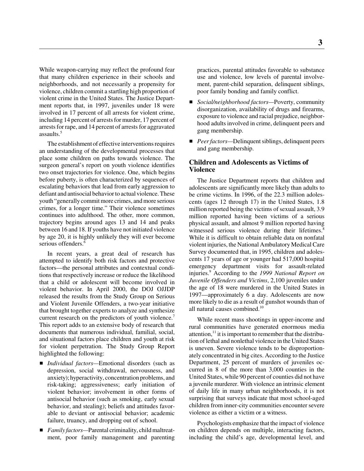While weapon-carrying may reflect the profound fear that many children experience in their schools and neighborhoods, and not necessarily a propensity for violence, children commit a startling high proportion of violent crime in the United States. The Justice Department reports that, in 1997, juveniles under 18 were involved in 17 percent of all arrests for violent crime, including 14 percent of arrests for murder, 17 percent of arrests for rape, and 14 percent of arrests for aggravated assaults.5

The establishment of effective interventions requires an understanding of the developmental processes that place some children on paths towards violence. The surgeon general's report on youth violence identifies two onset trajectories for violence. One, which begins before puberty, is often characterized by sequences of escalating behaviors that lead from early aggression to defiant and antisocial behavior to actual violence. These youth "generally commit more crimes, and more serious crimes, for a longer time." Their violence sometimes continues into adulthood. The other, more common, trajectory begins around ages 13 and 14 and peaks between 16 and 18. If youths have not initiated violence by age 20, it is highly unlikely they will ever become serious offenders.<sup>6</sup>

In recent years, a great deal of research has attempted to identify both risk factors and protective factors—the personal attributes and contextual conditions that respectively increase or reduce the likelihood that a child or adolescent will become involved in violent behavior. In April 2000, the DOJ OJJDP released the results from the Study Group on Serious and Violent Juvenile Offenders, a two-year initiative that brought together experts to analyze and synthesize current research on the predictors of youth violence.<sup>7</sup> This report adds to an extensive body of research that documents that numerous individual, familial, social, and situational factors place children and youth at risk for violent perpetration. The Study Group Report highlighted the following:

- *Individual factors—*Emotional disorders (such as depression, social withdrawal, nervousness, and anxiety); hyperactivity, concentration problems, and risk-taking; aggressiveness; early initiation of violent behavior; involvement in other forms of antisocial behavior (such as smoking, early sexual behavior, and stealing); beliefs and attitudes favorable to deviant or antisocial behavior; academic failure, truancy, and dropping out of school.
- *Family factors*—Parental criminality, child maltreatment, poor family management and parenting

practices, parental attitudes favorable to substance use and violence, low levels of parental involvement, parent-child separation, delinquent siblings, poor family bonding and family conflict.

- *Social/neighborhood factors*—Poverty, community disorganization, availability of drugs and firearms, exposure to violence and racial prejudice, neighborhood adults involved in crime, delinquent peers and gang membership.
- *Peer factors*—Delinquent siblings, delinquent peers and gang membership.

# **Children and Adolescents as Victims of Violence**

The Justice Department reports that children and adolescents are significantly more likely than adults to be crime victims. In 1996, of the 22.3 million adolescents (ages 12 through 17) in the United States, 1.8 million reported being the victims of sexual assault, 3.9 million reported having been victims of a serious physical assault, and almost 9 million reported having witnessed serious violence during their lifetimes.<sup>8</sup> While it is difficult to obtain reliable data on nonfatal violent injuries, the National Ambulatory Medical Care Survey documented that, in 1995, children and adolescents 17 years of age or younger had 517,000 hospital emergency department visits for assault-related injuries.9 According to the *1999 National Report on Juvenile Offenders and Victims*, 2,100 juveniles under the age of 18 were murdered in the United States in 1997—approximately 6 a day. Adolescents are now more likely to die as a result of gunshot wounds than of all natural causes combined.10

While recent mass shootings in upper-income and rural communities have generated enormous media attention, $11$  it is important to remember that the distribution of lethal and nonlethal violence in the United States is uneven. Severe violence tends to be disproportionately concentrated in big cites. According to the Justice Department, 25 percent of murders of juveniles occurred in 8 of the more than 3,000 counties in the United States, while 90 percent of counties did not have a juvenile murderer. With violence an intrinsic element of daily life in many urban neighborhoods, it is not surprising that surveys indicate that most school-aged children from inner-city communities encounter severe violence as either a victim or a witness.

Psychologists emphasize that the impact of violence on children depends on multiple, interacting factors, including the child's age, developmental level, and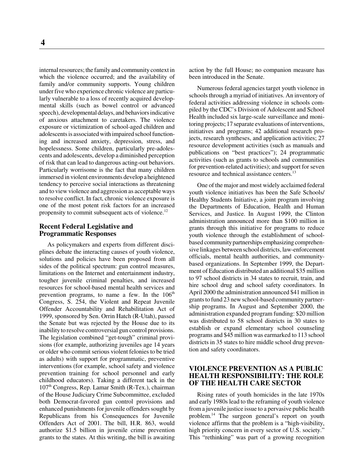internal resources; the family and community context in which the violence occurred; and the availability of family and/or community supports. Young children under five who experience chronic violence are particularly vulnerable to a loss of recently acquired developmental skills (such as bowel control or advanced speech), developmental delays, and behaviors indicative of anxious attachment to caretakers. The violence exposure or victimization of school-aged children and adolescents is associated with impaired school functioning and increased anxiety, depression, stress, and hopelessness. Some children, particularly pre-adolescents and adolescents, develop a diminished perception of risk that can lead to dangerous acting-out behaviors. Particularly worrisome is the fact that many children immersed in violent environments develop a heightened tendency to perceive social interactions as threatening and to view violence and aggression as acceptable ways to resolve conflict. In fact, chronic violence exposure is one of the most potent risk factors for an increased propensity to commit subsequent acts of violence.<sup>12</sup>

#### **Recent Federal Legislative and Programmatic Responses**

As policymakers and experts from different disciplines debate the interacting causes of youth violence, solutions and policies have been proposed from all sides of the political spectrum: gun control measures, limitations on the Internet and entertainment industry, tougher juvenile criminal penalties, and increased resources for school-based mental health services and prevention programs, to name a few. In the  $106<sup>th</sup>$ Congress, S. 254, the Violent and Repeat Juvenile Offender Accountability and Rehabilitation Act of 1999, sponsored by Sen. Orrin Hatch (R-Utah), passed the Senate but was rejected by the House due to its inability to resolve controversial gun control provisions. The legislation combined "get-tough" criminal provisions (for example, authorizing juveniles age 14 years or older who commit serious violent felonies to be tried as adults) with support for programmatic, preventive interventions (for example, school safety and violence prevention training for school personnel and early childhood educators). Taking a different tack in the  $107<sup>th</sup> Congress$ , Rep. Lamar Smith (R-Tex.), chairman of the House Judiciary Crime Subcommittee, excluded both Democrat-favored gun control provisions and enhanced punishments for juvenile offenders sought by Republicans from his Consequences for Juvenile Offenders Act of 2001. The bill, H.R. 863, would authorize \$1.5 billion in juvenile crime prevention grants to the states. At this writing, the bill is awaiting

action by the full House; no companion measure has been introduced in the Senate.

Numerous federal agencies target youth violence in schools through a myriad of initiatives. An inventory of federal activities addressing violence in schools compiled by the CDC's Division of Adolescent and School Health included six large-scale surveillance and monitoring projects; 17 separate evaluations of interventions, initiatives and programs; 42 additional research projects, research syntheses, and application activities; 27 resource development activities (such as manuals and publications on "best practices"); 24 programmatic activities (such as grants to schools and communities for prevention-related activities); and support for seven resource and technical assistance centers.<sup>13</sup>

One of the major and most widely acclaimed federal youth violence initiatives has been the Safe Schools/ Healthy Students Initiative, a joint program involving the Departments of Education, Health and Human Services, and Justice. In August 1999, the Clinton administration announced more than \$100 million in grants through this initiative for programs to reduce youth violence through the establishment of schoolbased community partnerships emphasizing comprehensive linkages between school districts, law-enforcement officials, mental health authorities, and communitybased organizations. In September 1999, the Department of Education distributed an additional \$35 million to 97 school districts in 34 states to recruit, train, and hire school drug and school safety coordinators. In April 2000 the administration announced \$41 million in grants to fund 23 new school-based community partnership programs. In August and September 2000, the administration expanded program funding: \$20 million was distributed to 58 school districts in 30 states to establish or expand elementary school counseling programs and \$45 million was earmarked to 113 school districts in 35 states to hire middle school drug prevention and safety coordinators.

# **VIOLENCE PREVENTION AS A PUBLIC HEALTH RESPONSIBILITY: THE ROLE OF THE HEALTH CARE SECTOR**

Rising rates of youth homicides in the late 1970s and early 1980s lead to the reframing of youth violence from a juvenile justice issue to a pervasive public health problem.14 The surgeon general's report on youth violence affirms that the problem is a "high-visibility, high priority concern in every sector of U.S. society." This "rethinking" was part of a growing recognition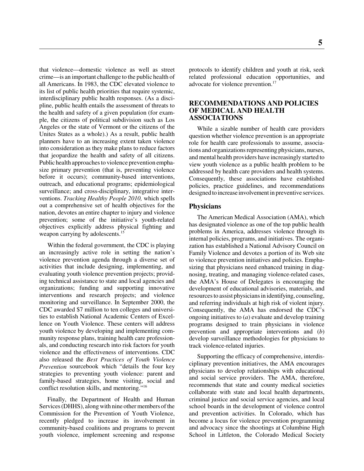that violence—domestic violence as well as street crime—is an important challenge to the public health of all Americans. In 1983, the CDC elevated violence to its list of public health priorities that require systemic, interdisciplinary public health responses. (As a discipline, public health entails the assessment of threats to the health and safety of a given population (for example, the citizens of political subdivision such as Los Angeles or the state of Vermont or the citizens of the Unites States as a whole).) As a result, public health planners have to an increasing extent taken violence into consideration as they make plans to reduce factors that jeopardize the health and safety of all citizens. Public health approaches to violence prevention emphasize primary prevention (that is, preventing violence before it occurs); community-based interventions, outreach, and educational programs; epidemiological surveillance; and cross-disciplinary, integrative interventions. *Tracking Healthy People 2010,* which spells out a comprehensive set of health objectives for the nation, devotes an entire chapter to injury and violence prevention; some of the initiative's youth-related objectives explicitly address physical fighting and weapon carrying by adolescents.<sup>15</sup>

Within the federal government, the CDC is playing an increasingly active role in setting the nation's violence prevention agenda through a diverse set of activities that include designing, implementing, and evaluating youth violence prevention projects; providing technical assistance to state and local agencies and organizations; funding and supporting innovative interventions and research projects; and violence monitoring and surveillance. In September 2000, the CDC awarded \$7 million to ten colleges and universities to establish National Academic Centers of Excellence on Youth Violence. These centers will address youth violence by developing and implementing community response plans, training health care professionals, and conducting research into risk factors for youth violence and the effectiveness of interventions. CDC also released the *Best Practices of Youth Violence Prevention* sourcebook which "details the four key strategies to preventing youth violence: parent and family-based strategies, home visiting, social and conflict resolution skills, and mentoring."16

Finally, the Department of Health and Human Services (DHHS), along with nine other members of the Commission for the Prevention of Youth Violence, recently pledged to increase its involvement in community-based coalitions and programs to prevent youth violence, implement screening and response

protocols to identify children and youth at risk, seek related professional education opportunities, and advocate for violence prevention.<sup>17</sup>

# **RECOMMENDATIONS AND POLICIES OF MEDICAL AND HEALTH ASSOCIATIONS**

While a sizable number of health care providers question whether violence prevention is an appropriate role for health care professionals to assume, associations and organizations representing physicians, nurses, and mental health providers have increasingly started to view youth violence as a public health problem to be addressed by health care providers and health systems. Consequently, these associations have established policies, practice guidelines, and recommendations designed to increase involvement in preventive services.

#### **Physicians**

The American Medical Association (AMA), which has designated violence as one of the top public health problems in America, addresses violence through its internal policies, programs, and initiatives. The organization has established a National Advisory Council on Family Violence and devotes a portion of its Web site to violence prevention initiatives and policies. Emphasizing that physicians need enhanced training in diagnosing, treating, and managing violence-related cases, the AMA's House of Delegates is encouraging the development of educational advisories, materials, and resources to assist physicians in identifying, counseling, and referring individuals at high risk of violent injury. Consequently, the AMA has endorsed the CDC's ongoing initiatives to (*a*) evaluate and develop training programs designed to train physicians in violence prevention and appropriate interventions and (*b*) develop surveillance methodologies for physicians to track violence-related injuries.

Supporting the efficacy of comprehensive, interdisciplinary prevention initiatives, the AMA encourages physicians to develop relationships with educational and social service providers. The AMA, therefore, recommends that state and county medical societies collaborate with state and local health departments, criminal justice and social service agencies, and local school boards in the development of violence control and prevention activities. In Colorado, which has become a locus for violence prevention programming and advocacy since the shootings at Columbine High School in Littleton, the Colorado Medical Society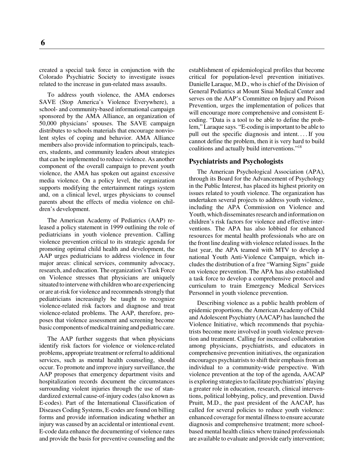created a special task force in conjunction with the Colorado Psychiatric Society to investigate issues related to the increase in gun-related mass assaults.

To address youth violence, the AMA endorses SAVE (Stop America's Violence Everywhere), a school- and community-based informational campaign sponsored by the AMA Alliance, an organization of 50,000 physicians' spouses. The SAVE campaign distributes to schools materials that encourage nonviolent styles of coping and behavior. AMA Alliance members also provide information to principals, teachers, students, and community leaders about strategies that can be implemented to reduce violence. As another component of the overall campaign to prevent youth violence, the AMA has spoken out against excessive media violence. On a policy level, the organization supports modifying the entertainment ratings system and, on a clinical level, urges physicians to counsel parents about the effects of media violence on children's development.

The American Academy of Pediatrics (AAP) released a policy statement in 1999 outlining the role of pediatricians in youth violence prevention. Calling violence prevention critical to its strategic agenda for promoting optimal child health and development, the AAP urges pediatricians to address violence in four major areas: clinical services, community advocacy, research, and education. The organization's Task Force on Violence stresses that physicians are uniquely situated to intervene with children who are experiencing or are at-risk for violence and recommends strongly that pediatricians increasingly be taught to recognize violence-related risk factors and diagnose and treat violence-related problems. The AAP, therefore, proposes that violence assessment and screening become basic components of medical training and pediatric care.

The AAP further suggests that when physicians identify risk factors for violence or violence-related problems, appropriate treatment or referral to additional services, such as mental health counseling, should occur. To promote and improve injury surveillance, the AAP proposes that emergency department visits and hospitalization records document the circumstances surrounding violent injuries through the use of standardized external cause-of-injury codes (also known as E-codes). Part of the International Classification of Diseases Coding Systems, E-codes are found on billing forms and provide information indicating whether an injury was caused by an accidental or intentional event. E-code data enhance the documenting of violence rates and provide the basis for preventive counseling and the establishment of epidemiological profiles that become critical for population-level prevention initiatives. Danielle Laraque, M.D., who is chief of the Division of General Pediatrics at Mount Sinai Medical Center and serves on the AAP's Committee on Injury and Poison Prevention, urges the implementation of polices that will encourage more comprehensive and consistent Ecoding. "Data is a tool to be able to define the problem," Laraque says. "E-coding is important to be able to pull out the specific diagnosis and intent. . . . If you cannot define the problem, then it is very hard to build coalitions and actually build interventions."18

#### **Psychiatrists and Psychologists**

The American Psychological Association (APA), through its Board for the Advancement of Psychology in the Public Interest, has placed its highest priority on issues related to youth violence. The organization has undertaken several projects to address youth violence, including the APA Commission on Violence and Youth, which disseminates research and information on children's risk factors for violence and effective interventions. The APA has also lobbied for enhanced resources for mental health professionals who are on the front line dealing with violence related issues. In the last year, the APA teamed with MTV to develop a national Youth Anti-Violence Campaign, which includes the distribution of a free "Warning Signs" guide on violence prevention. The APA has also established a task force to develop a comprehensive protocol and curriculum to train Emergency Medical Services Personnel in youth violence prevention.

Describing violence as a public health problem of epidemic proportions, the American Academy of Child and Adolescent Psychiatry (AACAP) has launched the Violence Initiative, which recommends that psychiatrists become more involved in youth violence prevention and treatment. Calling for increased collaboration among physicians, psychiatrists, and educators in comprehensive prevention initiatives, the organization encourages psychiatrists to shift their emphasis from an individual to a community-wide perspective. With violence prevention at the top of the agenda, AACAP is exploring strategies to facilitate psychiatrists' playing a greater role in education, research, clinical interventions, political lobbying, policy, and prevention. David Pruitt, M.D., the past president of the AACAP, has called for several policies to reduce youth violence: enhanced coverage for mental illness to ensure accurate diagnosis and comprehensive treatment; more schoolbased mental health clinics where trained professionals are available to evaluate and provide early intervention;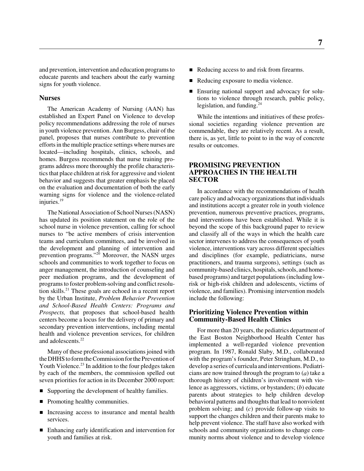and prevention, intervention and education programs to educate parents and teachers about the early warning signs for youth violence.

# **Nurses**

The American Academy of Nursing (AAN) has established an Expert Panel on Violence to develop policy recommendations addressing the role of nurses in youth violence prevention. Ann Burgess, chair of the panel, proposes that nurses contribute to prevention efforts in the multiple practice settings where nurses are located—including hospitals, clinics, schools, and homes. Burgess recommends that nurse training programs address more thoroughly the profile characteristics that place children at risk for aggressive and violent behavior and suggests that greater emphasis be placed on the evaluation and documentation of both the early warning signs for violence and the violence-related injuries.19

The National Association of School Nurses (NASN) has updated its position statement on the role of the school nurse in violence prevention, calling for school nurses to "be active members of crisis intervention teams and curriculum committees, and be involved in the development and planning of intervention and prevention programs."<sup>20</sup> Moreover, the NASN urges schools and communities to work together to focus on anger management, the introduction of counseling and peer mediation programs, and the development of programs to foster problem-solving and conflict resolution skills.21 These goals are echoed in a recent report by the Urban Institute, *Problem Behavior Prevention and School-Based Health Centers: Programs and Prospects,* that proposes that school-based health centers become a locus for the delivery of primary and secondary prevention interventions, including mental health and violence prevention services, for children and adolescents.<sup>22</sup>

Many of these professional associations joined with the DHHS to form the Commission for the Prevention of Youth Violence.<sup>23</sup> In addition to the four pledges taken by each of the members, the commission spelled out seven priorities for action in its December 2000 report:

- Supporting the development of healthy families.
- Promoting healthy communities.
- Increasing access to insurance and mental health services.
- Enhancing early identification and intervention for youth and families at risk.
- Reducing access to and risk from firearms.
- $\blacksquare$ Reducing exposure to media violence.
- $\blacksquare$  Ensuring national support and advocacy for solutions to violence through research, public policy, legislation, and funding.<sup>24</sup>

While the intentions and initiatives of these professional societies regarding violence prevention are commendable, they are relatively recent. As a result, there is, as yet, little to point to in the way of concrete results or outcomes.

# **PROMISING PREVENTION APPROACHES IN THE HEALTH SECTOR**

In accordance with the recommendations of health care policy and advocacy organizations that individuals and institutions accept a greater role in youth violence prevention, numerous preventive practices, programs, and interventions have been established. While it is beyond the scope of this background paper to review and classify all of the ways in which the health care sector intervenes to address the consequences of youth violence, interventions vary across different specialties and disciplines (for example, pediatricians, nurse practitioners, and trauma surgeons), settings (such as community-based clinics, hospitals, schools, and homebased programs) and target populations (including lowrisk or high-risk children and adolescents, victims of violence, and families). Promising intervention models include the following:

# **Prioritizing Violence Prevention within Community-Based Health Clinics**

For more than 20 years, the pediatrics department of the East Boston Neighborhood Health Center has implemented a well-regarded violence prevention program. In 1987, Ronald Slaby, M.D., collaborated with the program's founder, Peter Stringham, M.D., to develop a series of curricula and interventions. Pediatricians are now trained through the program to (*a*) take a thorough history of children's involvement with violence as aggressors, victims, or bystanders; (*b*) educate parents about strategies to help children develop behavioral patterns and thoughts that lead to nonviolent problem solving; and (*c*) provide follow-up visits to support the changes children and their parents make to help prevent violence. The staff have also worked with schools and community organizations to change community norms about violence and to develop violence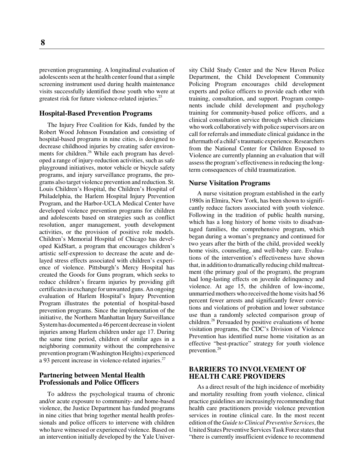prevention programming. A longitudinal evaluation of adolescents seen at the health center found that a simple screening instrument used during health maintenance visits successfully identified those youth who were at greatest risk for future violence-related injuries.<sup>25</sup>

#### **Hospital-Based Prevention Programs**

The Injury Free Coalition for Kids, funded by the Robert Wood Johnson Foundation and consisting of hospital-based programs in nine cities, is designed to decrease childhood injuries by creating safer environments for children.<sup>26</sup> While each program has developed a range of injury-reduction activities, such as safe playground initiatives, motor vehicle or bicycle safety programs, and injury surveillance programs, the programs also target violence prevention and reduction. St. Louis Children's Hospital, the Children's Hospital of Philadelphia, the Harlem Hospital Injury Prevention Program, and the Harbor-UCLA Medical Center have developed violence prevention programs for children and adolescents based on strategies such as conflict resolution, anger management, youth development activities, or the provision of positive role models. Children's Memorial Hospital of Chicago has developed KidStart, a program that encourages children's artistic self-expression to decrease the acute and delayed stress effects associated with children's experience of violence. Pittsburgh's Mercy Hospital has created the Goods for Guns program, which seeks to reduce children's firearm injuries by providing gift certificates in exchange for unwanted guns. An ongoing evaluation of Harlem Hospital's Injury Prevention Program illustrates the potential of hospital-based prevention programs. Since the implementation of the initiative, the Northern Manhattan Injury Surveillance System has documented a 46 percent decrease in violent injuries among Harlem children under age 17. During the same time period, children of similar ages in a neighboring community without the comprehensive prevention program (Washington Heights) experienced a 93 percent increase in violence-related injuries.<sup>27</sup>

#### **Partnering between Mental Health Professionals and Police Officers**

To address the psychological trauma of chronic and/or acute exposure to community- and home-based violence, the Justice Department has funded programs in nine cities that bring together mental health professionals and police officers to intervene with children who have witnessed or experienced violence. Based on an intervention initially developed by the Yale University Child Study Center and the New Haven Police Department, the Child Development Community Policing Program encourages child development experts and police officers to provide each other with training, consultation, and support. Program components include child development and psychology training for community-based police officers, and a clinical consultation service through which clinicians who work collaboratively with police supervisors are on call for referrals and immediate clinical guidance in the aftermath of a child's traumatic experience. Researchers from the National Center for Children Exposed to Violence are currently planning an evaluation that will assess the program's effectiveness in reducing the longterm consequences of child traumatization.

#### **Nurse Visitation Programs**

A nurse visitation program established in the early 1980s in Elmira, New York, has been shown to significantly reduce factors associated with youth violence. Following in the tradition of public health nursing, which has a long history of home visits to disadvantaged families, the comprehensive program, which began during a woman's pregnancy and continued for two years after the birth of the child, provided weekly home visits, counseling, and well-baby care. Evaluations of the intervention's effectiveness have shown that, in addition to dramatically reducing child maltreatment (the primary goal of the program), the program had long-lasting effects on juvenile delinquency and violence. At age 15, the children of low-income, unmarried mothers who received the home visits had 56 percent fewer arrests and significantly fewer convictions and violations of probation and lower substance use than a randomly selected comparison group of children.<sup>28</sup> Persuaded by positive evaluations of home visitation programs, the CDC's Division of Violence Prevention has identified nurse home visitation as an effective "best-practice" strategy for youth violence prevention.29

# **BARRIERS TO INVOLVEMENT OF HEALTH CARE PROVIDERS**

As a direct result of the high incidence of morbidity and mortality resulting from youth violence, clinical practice guidelines are increasingly recommending that health care practitioners provide violence prevention services in routine clinical care. In the most recent edition of the *Guide to Clinical Preventive Services*, the United States Preventive Services Task Force states that "there is currently insufficient evidence to recommend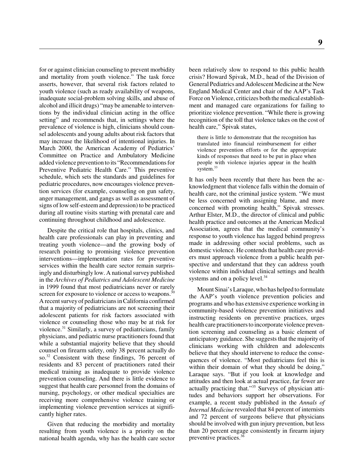for or against clinician counseling to prevent morbidity and mortality from youth violence." The task force asserts, however, that several risk factors related to youth violence (such as ready availability of weapons, inadequate social-problem solving skills, and abuse of alcohol and illicit drugs) "may be amenable to interventions by the individual clinician acting in the office setting" and recommends that, in settings where the prevalence of violence is high, clinicians should counsel adolescents and young adults about risk factors that may increase the likelihood of intentional injuries. In March 2000, the American Academy of Pediatrics' Committee on Practice and Ambulatory Medicine added violence prevention to its "Recommendations for Preventive Pediatric Health Care." This preventive schedule, which sets the standards and guidelines for pediatric procedures, now encourages violence prevention services (for example, counseling on gun safety, anger management, and gangs as well as assessment of signs of low self-esteem and depression) to be practiced during all routine visits starting with prenatal care and continuing throughout childhood and adolescence.

Despite the critical role that hospitals, clinics, and health care professionals can play in preventing and treating youth violence—and the growing body of research pointing to promising violence prevention interventions—implementation rates for preventive services within the health care sector remain surprisingly and disturbingly low. A national survey published in the *Archives of Pediatrics and Adolescent Medicine* in 1999 found that most pediatricians never or rarely screen for exposure to violence or access to weapons.<sup>30</sup> A recent survey of pediatricians in California confirmed that a majority of pediatricians are not screening their adolescent patients for risk factors associated with violence or counseling those who may be at risk for violence. $31$  Similarly, a survey of pediatricians, family physicians, and pediatric nurse practitioners found that while a substantial majority believe that they should counsel on firearm safety, only 38 percent actually do so.<sup>32</sup> Consistent with these findings, 76 percent of residents and 83 percent of practitioners rated their medical training as inadequate to provide violence prevention counseling. And there is little evidence to suggest that health care personnel from the domains of nursing, psychology, or other medical specialties are receiving more comprehensive violence training or implementing violence prevention services at significantly higher rates.

Given that reducing the morbidity and mortality resulting from youth violence is a priority on the national health agenda, why has the health care sector been relatively slow to respond to this public health crisis? Howard Spivak, M.D., head of the Division of General Pediatrics and Adolescent Medicine at the New England Medical Center and chair of the AAP's Task Force on Violence, criticizes both the medical establishment and managed care organizations for failing to prioritize violence prevention. "While there is growing recognition of the toll that violence takes on the cost of health care," Spivak states,

there is little to demonstrate that the recognition has translated into financial reimbursement for either violence prevention efforts or for the appropriate kinds of responses that need to be put in place when people with violence injuries appear in the health system.<sup>33</sup>

It has only been recently that there has been the acknowledgment that violence falls within the domain of health care, not the criminal justice system. "We must be less concerned with assigning blame, and more concerned with promoting health," Spivak stresses. Arthur Elster, M.D., the director of clinical and public health practice and outcomes at the American Medical Association, agrees that the medical community's response to youth violence has lagged behind progress made in addressing other social problems, such as domestic violence. He contends that health care providers must approach violence from a public health perspective and understand that they can address youth violence within individual clinical settings and health systems and on a policy level.<sup>34</sup>

Mount Sinai's Laraque, who has helped to formulate the AAP's youth violence prevention policies and programs and who has extensive experience working in community-based violence prevention initiatives and instructing residents on preventive practices, urges health care practitioners to incorporate violence prevention screening and counseling as a basic element of anticipatory guidance. She suggests that the majority of clinicians working with children and adolescents believe that they should intervene to reduce the consequences of violence. "Most pediatricians feel this is within their domain of what they should be doing," Laraque says. "But if you look at knowledge and attitudes and then look at actual practice, far fewer are actually practicing that."35 Surveys of physician attitudes and behaviors support her observations. For example, a recent study published in the *Annals of Internal Medicine* revealed that 84 percent of internists and 72 percent of surgeons believe that physicians should be involved with gun injury prevention, but less than 20 percent engage consistently in firearm injury preventive practices.36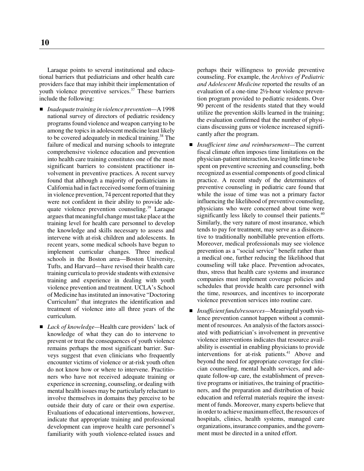Laraque points to several institutional and educational barriers that pediatricians and other health care providers face that may inhibit their implementation of youth violence preventive services.<sup>37</sup> These barriers include the following:

- *Inadequate training in violence prevention—*A 1998 national survey of directors of pediatric residency programs found violence and weapon carrying to be among the topics in adolescent medicine least likely to be covered adequately in medical training.<sup>38</sup> The failure of medical and nursing schools to integrate comprehensive violence education and prevention into health care training constitutes one of the most significant barriers to consistent practitioner involvement in preventive practices. A recent survey found that although a majority of pediatricians in California had in fact received some form of training in violence prevention, 74 percent reported that they were not confident in their ability to provide adequate violence prevention counseling.<sup>39</sup> Laraque argues that meaningful change must take place at the training level for health care personnel to develop the knowledge and skills necessary to assess and intervene with at-risk children and adolescents. In recent years, some medical schools have begun to implement curricular changes. Three medical schools in the Boston area—Boston University, Tufts, and Harvard—have revised their health care training curricula to provide students with extensive training and experience in dealing with youth violence prevention and treatment. UCLA's School of Medicine has instituted an innovative "Doctoring Curriculum" that integrates the identification and treatment of violence into all three years of the curriculum.
- *Lack of knowledge*—Health care providers' lack of knowledge of what they can do to intervene to prevent or treat the consequences of youth violence remains perhaps the most significant barrier. Surveys suggest that even clinicians who frequently encounter victims of violence or at-risk youth often do not know how or where to intervene. Practitioners who have not received adequate training or experience in screening, counseling, or dealing with mental health issues may be particularly reluctant to involve themselves in domains they perceive to be outside their duty of care or their own expertise. Evaluations of educational interventions, however, indicate that appropriate training and professional development can improve health care personnel's familiarity with youth violence-related issues and

perhaps their willingness to provide preventive counseling. For example, the *Archives of Pediatric and Adolescent Medicine* reported the results of an evaluation of a one-time 2½-hour violence prevention program provided to pediatric residents. Over 90 percent of the residents stated that they would utilize the prevention skills learned in the training; the evaluation confirmed that the number of physicians discussing guns or violence increased significantly after the program.

- *Insufficient time and reimbursement—*The current fiscal climate often imposes time limitations on the physician-patient interaction, leaving little time to be spent on preventive screening and counseling, both recognized as essential components of good clinical practice. A recent study of the determinates of preventive counseling in pediatric care found that while the issue of time was not a primary factor influencing the likelihood of preventive counseling, physicians who were concerned about time were significantly less likely to counsel their patients.<sup>40</sup> Similarly, the very nature of most insurance, which tends to pay for treatment, may serve as a disincentive to traditionally nonbillable prevention efforts. Moreover, medical professionals may see violence prevention as a "social service" benefit rather than a medical one, further reducing the likelihood that counseling will take place. Prevention advocates, thus, stress that health care systems and insurance companies must implement coverage policies and schedules that provide health care personnel with the time, resources, and incentives to incorporate violence prevention services into routine care.
- *Insufficient funds/resources—*Meaningful youth violence prevention cannot happen without a commitment of resources. An analysis of the factors associated with pediatrician's involvement in preventive violence interventions indicates that resource availability is essential in enabling physicians to provide interventions for at-risk patients.<sup>41</sup> Above and beyond the need for appropriate coverage for clinician counseling, mental health services, and adequate follow-up care, the establishment of preventive programs or initiatives, the training of practitioners, and the preparation and distribution of basic education and referral materials require the investment of funds. Moreover, many experts believe that in order to achieve maximum effect, the resources of hospitals, clinics, health systems, managed care organizations, insurance companies, and the government must be directed in a united effort.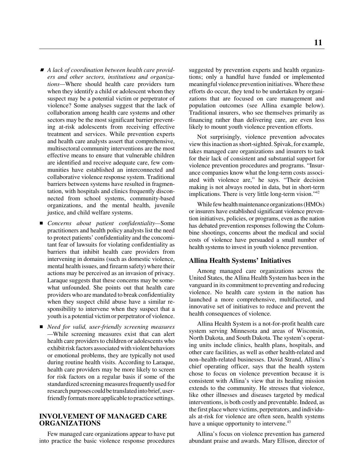- *A lack of coordination between health care providers and other sectors, institutions and organizations—*Where should health care providers turn when they identify a child or adolescent whom they suspect may be a potential victim or perpetrator of violence? Some analyses suggest that the lack of collaboration among health care systems and other sectors may be the most significant barrier preventing at-risk adolescents from receiving effective treatment and services. While prevention experts and health care analysts assert that comprehensive, multisectoral community interventions are the most effective means to ensure that vulnerable children are identified and receive adequate care, few communities have established an interconnected and collaborative violence response system. Traditional barriers between systems have resulted in fragmentation, with hospitals and clinics frequently disconnected from school systems, community-based organizations, and the mental health, juvenile justice, and child welfare systems.
- *Concerns about patient confidentiality—*Some practitioners and health policy analysts list the need to protect patients' confidentiality and the concomitant fear of lawsuits for violating confidentiality as barriers that inhibit health care providers from intervening in domains (such as domestic violence, mental health issues, and firearm safety) where their actions may be perceived as an invasion of privacy. Laraque suggests that these concerns may be somewhat unfounded. She points out that health care providers who are mandated to break confidentiality when they suspect child abuse have a similar responsibility to intervene when they suspect that a youth is a potential victim or perpetrator of violence.
- *Need for valid, user-friendly screening measures —*While screening measures exist that can alert health care providers to children or adolescents who exhibit risk factors associated with violent behaviors or emotional problems, they are typically not used during routine health visits. According to Laraque, health care providers may be more likely to screen for risk factors on a regular basis if some of the standardized screening measures frequently used for research purposes could be translated into brief, userfriendly formats more applicable to practice settings.

# **INVOLVEMENT OF MANAGED CARE ORGANIZATIONS**

Few managed care organizations appear to have put into practice the basic violence response procedures suggested by prevention experts and health organizations; only a handful have funded or implemented meaningful violence prevention initiatives. Where these efforts do occur, they tend to be undertaken by organizations that are focused on care management and population outcomes (see Allina example below). Traditional insurers, who see themselves primarily as financing rather than delivering care, are even less likely to mount youth violence prevention efforts.

Not surprisingly, violence prevention advocates view this inaction as short-sighted. Spivak, for example, takes managed care organizations and insurers to task for their lack of consistent and substantial support for violence prevention procedures and programs. "Insurance companies know what the long-term costs associated with violence are," he says. "Their decision making is not always rooted in data, but in short-term implications. There is very little long-term vision."<sup>42</sup>

While few health maintenance organizations (HMOs) or insurers have established significant violence prevention initiatives, policies, or programs, even as the nation has debated prevention responses following the Columbine shootings, concerns about the medical and social costs of violence have persuaded a small number of health systems to invest in youth violence prevention.

#### **Allina Health Systems' Initiatives**

Among managed care organizations across the United States, the Allina Health System has been in the vanguard in its commitment to preventing and reducing violence. No health care system in the nation has launched a more comprehensive, multifaceted, and innovative set of initiatives to reduce and prevent the health consequences of violence.

Allina Health System is a not-for-profit health care system serving Minnesota and areas of Wisconsin, North Dakota, and South Dakota. The system's operating units include clinics, health plans, hospitals, and other care facilities, as well as other health-related and non–health-related businesses. David Strand, Allina's chief operating officer, says that the health system chose to focus on violence prevention because it is consistent with Allina's view that its healing mission extends to the community. He stresses that violence, like other illnesses and diseases targeted by medical interventions, is both costly and preventable. Indeed, as the first place where victims, perpetrators, and individuals at-risk for violence are often seen, health systems have a unique opportunity to intervene.<sup>43</sup>

Allina's focus on violence prevention has garnered abundant praise and awards. Mary Ellison, director of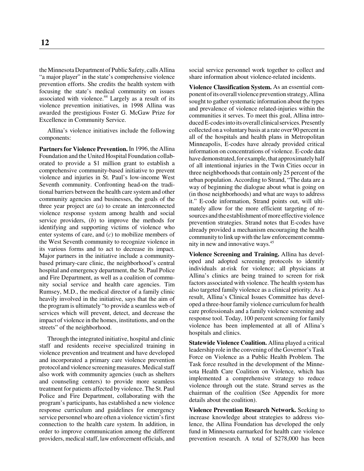the Minnesota Department of Public Safety, calls Allina "a major player" in the state's comprehensive violence prevention efforts. She credits the health system with focusing the state's medical community on issues associated with violence.<sup>44</sup> Largely as a result of its violence prevention initiatives, in 1998 Allina was awarded the prestigious Foster G. McGaw Prize for Excellence in Community Service.

Allina's violence initiatives include the following components:

**Partners for Violence Prevention.** In 1996, the Allina Foundation and the United Hospital Foundation collaborated to provide a \$1 million grant to establish a comprehensive community-based initiative to prevent violence and injuries in St. Paul's low-income West Seventh community. Confronting head-on the traditional barriers between the health care system and other community agencies and businesses, the goals of the three year project are (*a*) to create an interconnected violence response system among health and social service providers, (*b*) to improve the methods for identifying and supporting victims of violence who enter systems of care, and (*c*) to mobilize members of the West Seventh community to recognize violence in its various forms and to act to decrease its impact. Major partners in the initiative include a communitybased primary-care clinic, the neighborhood's central hospital and emergency department, the St. Paul Police and Fire Department, as well as a coalition of community social service and health care agencies. Tim Rumsey, M.D., the medical director of a family clinic heavily involved in the initiative, says that the aim of the program is ultimately "to provide a seamless web of services which will prevent, detect, and decrease the impact of violence in the homes, institutions, and on the streets" of the neighborhood.

Through the integrated initiative, hospital and clinic staff and residents receive specialized training in violence prevention and treatment and have developed and incorporated a primary care violence prevention protocol and violence screening measures. Medical staff also work with community agencies (such as shelters and counseling centers) to provide more seamless treatment for patients affected by violence. The St. Paul Police and Fire Department, collaborating with the program's participants, has established a new violence response curriculum and guidelines for emergency service personnel who are often a violence victim's first connection to the health care system. In addition, in order to improve communication among the different providers, medical staff, law enforcement officials, and

social service personnel work together to collect and share information about violence-related incidents.

**Violence Classification System.** As an essential component of its overall violence prevention strategy, Allina sought to gather systematic information about the types and prevalence of violence related-injuries within the communities it serves. To meet this goal, Allina introduced E-codes into its overall clinical services. Presently collected on a voluntary basis at a rate over 90 percent in all of the hospitals and health plans in Metropolitan Minneapolis, E-codes have already provided critical information on concentrations of violence. E-code data have demonstrated, for example, that approximately half of all intentional injuries in the Twin Cities occur in three neighborhoods that contain only 25 percent of the urban population. According to Strand, "The data are a way of beginning the dialogue about what is going on (in those neighborhoods) and what are ways to address it." E-code information, Strand points out, will ultimately allow for the more efficient targeting of resources and the establishment of more effective violence prevention strategies. Strand notes that E-codes have already provided a mechanism encouraging the health community to link up with the law enforcement community in new and innovative ways.<sup>45</sup>

**Violence Screening and Training.** Allina has developed and adopted screening protocols to identify individuals at-risk for violence; all physicians at Allina's clinics are being trained to screen for risk factors associated with violence. The health system has also targeted family violence as a clinical priority. As a result, Allina's Clinical Issues Committee has developed a three-hour family violence curriculum for health care professionals and a family violence screening and response tool. Today, 100 percent screening for family violence has been implemented at all of Allina's hospitals and clinics.

**Statewide Violence Coalition.** Allina played a critical leadership role in the convening of the Governor's Task Force on Violence as a Public Health Problem. The Task force resulted in the development of the Minnesota Health Care Coalition on Violence, which has implemented a comprehensive strategy to reduce violence through out the state. Strand serves as the chairman of the coalition (See Appendix for more details about the coalition).

**Violence Prevention Research Network.** Seeking to increase knowledge about strategies to address violence, the Allina Foundation has developed the only fund in Minnesota earmarked for health care violence prevention research. A total of \$278,000 has been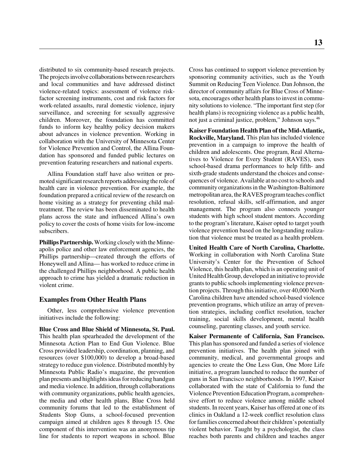distributed to six community-based research projects. The projects involve collaborations between researchers and local communities and have addressed distinct violence-related topics: assessment of violence riskfactor screening instruments, cost and risk factors for work-related assaults, rural domestic violence, injury surveillance, and screening for sexually aggressive children. Moreover, the foundation has committed funds to inform key healthy policy decision makers about advances in violence prevention. Working in collaboration with the University of Minnesota Center for Violence Prevention and Control, the Allina Foundation has sponsored and funded public lectures on prevention featuring researchers and national experts.

Allina Foundation staff have also written or promoted significant research reports addressing the role of health care in violence prevention. For example, the foundation prepared a critical review of the research on home visiting as a strategy for preventing child maltreatment. The review has been disseminated to health plans across the state and influenced Allina's own policy to cover the costs of home visits for low-income subscribers.

**Phillips Partnership.** Working closely with the Minneapolis police and other law enforcement agencies, the Phillips partnership—created through the efforts of Honeywell and Allina— has worked to reduce crime in the challenged Phillips neighborhood. A public health approach to crime has yielded a dramatic reduction in violent crime.

#### **Examples from Other Health Plans**

Other, less comprehensive violence prevention initiatives include the following:

**Blue Cross and Blue Shield of Minnesota, St. Paul.** This health plan spearheaded the development of the Minnesota Action Plan to End Gun Violence. Blue Cross provided leadership, coordination, planning, and resources (over \$100,000) to develop a broad-based strategy to reduce gun violence. Distributed monthly by Minnesota Public Radio's magazine, the prevention plan presents and highlights ideas for reducing handgun and media violence. In addition, through collaborations with community organizations, public health agencies, the media and other health plans, Blue Cross held community forums that led to the establishment of Students Stop Guns, a school-focused prevention campaign aimed at children ages 8 through 15. One component of this intervention was an anonymous tip line for students to report weapons in school. Blue

Cross has continued to support violence prevention by sponsoring community activities, such as the Youth Summit on Reducing Teen Violence. Dan Johnson, the director of community affairs for Blue Cross of Minnesota, encourages other health plans to invest in community solutions to violence. "The important first step (for health plans) is recognizing violence as a public health, not just a criminal justice, problem," Johnson says.46

**Kaiser Foundation Health Plan of the Mid-Atlantic, Rockville, Maryland.** This plan has included violence prevention in a campaign to improve the health of children and adolescents. One program, Real Alternatives to Violence for Every Student (RAVES), uses school-based drama performances to help fifth- and sixth-grade students understand the choices and consequences of violence. Available at no cost to schools and community organizations in the Washington-Baltimore metropolitan area, the RAVES program teaches conflict resolution, refusal skills, self-affirmation, and anger management. The program also connects younger students with high school student mentors. According to the program's literature, Kaiser opted to target youth violence prevention based on the longstanding realization that violence must be treated as a health problem.

**United Health Care of North Carolina, Charlotte.** Working in collaboration with North Carolina State University's Center for the Prevention of School Violence, this health plan, which is an operating unit of United Health Group, developed an initiative to provide grants to public schools implementing violence prevention projects. Through this initiative, over 40,000 North Carolina children have attended school-based violence prevention programs, which utilize an array of prevention strategies, including conflict resolution, teacher training, social skills development, mental health counseling, parenting classes, and youth service.

**Kaiser Permanente of California, San Francisco.** This plan has sponsored and funded a series of violence prevention initiatives. The health plan joined with community, medical, and governmental groups and agencies to create the One Less Gun, One More Life initiative, a program launched to reduce the number of guns in San Francisco neighborhoods. In 1997, Kaiser collaborated with the state of California to fund the Violence Prevention Education Program, a comprehensive effort to reduce violence among middle school students. In recent years, Kaiser has offered at one of its clinics in Oakland a 12-week conflict resolution class for families concerned about their children's potentially violent behavior. Taught by a psychologist, the class reaches both parents and children and teaches anger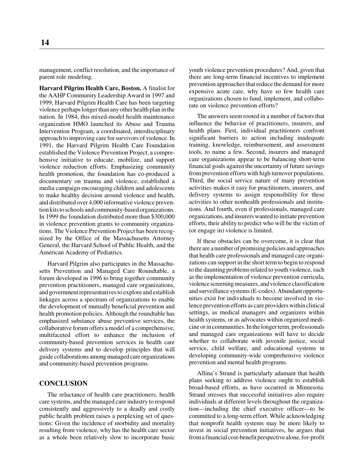management, conflict resolution, and the importance of parent role modeling.

**Harvard Pilgrim Health Care, Boston.** A finalist for the AAHP Community Leadership Award in 1997 and 1999, Harvard Pilgrim Health Care has been targeting violence perhaps longer than any other health plan in the nation. In 1984, this mixed-model health maintenance organization HMO launched its Abuse and Trauma Intervention Program, a coordinated, interdisciplinary approach to improving care for survivors of violence. In 1991, the Harvard Pilgrim Health Care Foundation established the Violence Prevention Project, a comprehensive initiative to educate, mobilize, and support violence reduction efforts. Emphasizing community health promotion, the foundation has co-produced a documentary on trauma and violence, established a media campaign encouraging children and adolescents to make healthy decision around violence and health, and distributed over 4,000 informative violence prevention kits to schools and community-based organizations. In 1999 the foundation distributed more than \$300,000 in violence prevention grants to community organizations. The Violence Prevention Project has been recognized by the Office of the Massachusetts Attorney General, the Harvard School of Public Health, and the American Academy of Pediatrics.

Harvard Pilgrim also participates in the Massachusetts Prevention and Managed Care Roundtable, a forum developed in 1996 to bring together community prevention practitioners, managed care organizations, and government representatives to explore and establish linkages across a spectrum of organizations to enable the development of mutually beneficial prevention and health promotion policies. Although the roundtable has emphasized substance abuse preventive services, the collaborative forum offers a model of a comprehensive, multifaceted effort to enhance the inclusion of community-based prevention services in health care delivery systems and to develop principles that will guide collaborations among managed care organizations and community-based prevention programs.

# **CONCLUSION**

The reluctance of health care practitioners, health care systems, and the managed care industry to respond consistently and aggressively to a deadly and costly public health problem raises a perplexing set of questions: Given the incidence of morbidity and mortality resulting from violence, why has the health care sector as a whole been relatively slow to incorporate basic

youth violence prevention procedures? And, given that there are long-term financial incentives to implement prevention approaches that reduce the demand for more expensive acute care, why have so few health care organizations chosen to fund, implement, and collaborate on violence prevention efforts?

The answers seem rooted in a number of factors that influence the behavior of practitioners, insurers, and health plans. First, individual practitioners confront significant barriers to action including inadequate training, knowledge, reimbursement, and assessment tools, to name a few. Second, insurers and managed care organizations appear to be balancing short-term financial goals against the uncertainty of future savings from prevention efforts with high turnover populations. Third, the social service nature of many prevention activities makes it easy for practitioners, insurers, and delivery systems to assign responsibility for these activities to other nonhealth professionals and institutions. And fourth, even if professionals, managed care organizations, and insurers wanted to initiate prevention efforts, their ability to predict who will be the victim of (or engage in) violence is limited.

If these obstacles can be overcome, it is clear that there are a number of promising policies and approaches that health care professionals and managed care organizations can support in the short term to begin to respond to the daunting problems related to youth violence, such as the implementation of violence prevention curricula, violence screening measures, and violence classification and surveillance systems (E-codes). Abundant opportunities exist for individuals to become involved in violence prevention efforts as care providers within clinical settings, as medical managers and organizers within health systems, or as advocates within organized medicine or in communities. In the longer term, professionals and managed care organizations will have to decide whether to collaborate with juvenile justice, social service, child welfare, and educational systems in developing community-wide comprehensive violence prevention and mental health programs.

Allina's Strand is particularly adamant that health plans seeking to address violence ought to establish broad-based efforts, as have occurred in Minnesota. Strand stresses that successful initiatives also require individuals at different levels throughout the organization—including the chief executive officer—to be committed to a long-term effort. While acknowledging that nonprofit health systems may be more likely to invest in social prevention initiatives, he argues that from a financial cost-benefit perspective alone, for-profit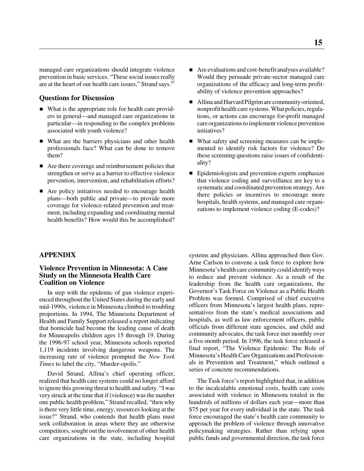managed care organizations should integrate violence prevention in basic services. "These social issues really are at the heart of our health care issues," Strand says.<sup>47</sup>

# **Questions for Discussion**

- What is the appropriate role for health care providers in general—and managed care organizations in particular—in responding to the complex problems associated with youth violence?
- What are the barriers physicians and other health professionals face? What can be done to remove them?
- Are there coverage and reimbursement policies that strengthen or serve as a barrier to effective violence prevention, intervention, and rehabilitation efforts?
- Are policy initiatives needed to encourage health plans—both public and private—to provide more coverage for violence-related prevention and treatment, including expanding and coordinating mental health benefits? How would this be accomplished?
- Are evaluations and cost-benefit analyses available? Would they persuade private-sector managed care organizations of the efficacy and long-term profitability of violence prevention approaches?
- Allina and Harvard Pilgrim are community-oriented, nonprofit health care systems. What policies, regulations, or actions can encourage for-profit managed care organizations to implement violence prevention initiatives?
- What safety and screening measures can be implemented to identify risk factors for violence? Do these screening questions raise issues of confidentiality?
- **Epidemiologists and prevention experts emphasize** that violence coding and surveillance are key to a systematic and coordinated prevention strategy. Are there policies or incentives to encourage more hospitals, health systems, and managed care organizations to implement violence coding (E-codes)?

# **APPENDIX**

## **Violence Prevention in Minnesota: A Case Study on the Minnesota Health Care Coalition on Violence**

In step with the epidemic of gun violence experienced throughout the United States during the early and mid-1990s, violence in Minnesota climbed to troubling proportions. In 1994, The Minnesota Department of Health and Family Support released a report indicating that homicide had become the leading cause of death for Minneapolis children ages 15 through 19. During the 1996-97 school year, Minnesota schools reported 1,119 incidents involving dangerous weapons. The increasing rate of violence prompted the *New York Times* to label the city, "Murder-opolis."

David Strand, Allina's chief operating officer, realized that health care systems could no longer afford to ignore this growing threat to health and safety. "I was very struck at the time that if (violence) was the number one public health problem," Strand recalled, "then why is there very little time, energy, resources looking at the issue?" Strand, who contends that health plans must seek collaboration in areas where they are otherwise competitors, sought out the involvement of other health care organizations in the state, including hospital

systems and physicians. Allina approached then Gov. Arne Carlson to convene a task force to explore how Minnesota's health care community could identify ways to reduce and prevent violence. As a result of the leadership from the health care organizations, the Governor's Task Force on Violence as a Public Health Problem was formed. Comprised of chief executive officers from Minnesota's largest health plans, representatives from the state's medical associations and hospitals, as well as law enforcement officers, public officials from different state agencies, and child and community advocates, the task force met monthly over a five-month period. In 1996, the task force released a final report, "The Violence Epidemic: The Role of Minnesota's Health Care Organizations and Professionals in Prevention and Treatment," which outlined a series of concrete recommendations.

The Task force's report highlighted that, in addition to the incalculable emotional costs, health care costs associated with violence in Minnesota totaled in the hundreds of millions of dollars each year—more than \$75 per year for every individual in the state. The task force encouraged the state's health care community to approach the problem of violence through innovative policymaking strategies. Rather than relying upon public funds and governmental direction, the task force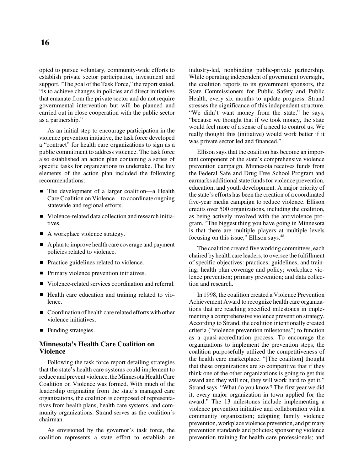opted to pursue voluntary, community-wide efforts to establish private sector participation, investment and support. "The goal of the Task Force," the report stated, "is to achieve changes in policies and direct initiatives that emanate from the private sector and do not require governmental intervention but will be planned and carried out in close cooperation with the public sector as a partnership."

As an initial step to encourage participation in the violence prevention initiative, the task force developed a "contract" for health care organizations to sign as a public commitment to address violence. The task force also established an action plan containing a series of specific tasks for organizations to undertake. The key elements of the action plan included the following recommendations:

- The development of a larger coalition—a Health Care Coalition on Violence—to coordinate ongoing statewide and regional efforts.
- Violence-related data collection and research initiatives.
- A workplace violence strategy.
- A plan to improve health care coverage and payment policies related to violence.
- Practice guidelines related to violence.
- **Primary violence prevention initiatives.**
- Violence-related services coordination and referral.
- Health care education and training related to violence.
- Coordination of health care related efforts with other violence initiatives.
- **Funding strategies.**

# **Minnesota's Health Care Coalition on Violence**

Following the task force report detailing strategies that the state's health care systems could implement to reduce and prevent violence, the Minnesota Health Care Coalition on Violence was formed. With much of the leadership originating from the state's managed care organizations, the coalition is composed of representatives from health plans, health care systems, and community organizations. Strand serves as the coalition's chairman.

As envisioned by the governor's task force, the coalition represents a state effort to establish an industry-led, nonbinding public-private partnership. While operating independent of government oversight, the coalition reports to its government sponsors, the State Commissioners for Public Safety and Public Health, every six months to update progress. Strand stresses the significance of this independent structure. "We didn't want money from the state," he says, "because we thought that if we took money, the state would feel more of a sense of a need to control us. We really thought this (initiative) would work better if it was private sector led and financed."

Ellison says that the coalition has become an important component of the state's comprehensive violence prevention campaign. Minnesota receives funds from the Federal Safe and Drug Free School Program and earmarks additional state funds for violence prevention, education, and youth development. A major priority of the state's efforts has been the creation of a coordinated five-year media campaign to reduce violence. Ellison credits over 500 organizations, including the coalition, as being actively involved with the antiviolence program. "The biggest thing you have going in Minnesota is that there are multiple players at multiple levels focusing on this issue," Ellison says.<sup>48</sup>

The coalition created five working committees, each chaired by health care leaders, to oversee the fulfillment of specific objectives: practices, guidelines, and training; health plan coverage and policy; workplace violence prevention; primary prevention; and data collection and research.

In 1998, the coalition created a Violence Prevention Achievement Award to recognize health care organizations that are reaching specified milestones in implementing a comprehensive violence prevention strategy. According to Strand, the coalition intentionally created criteria ("violence prevention milestones") to function as a quasi-accreditation process. To encourage the organizations to implement the prevention steps, the coalition purposefully utilized the competitiveness of the health care marketplace. "[The coalition] thought that these organizations are so competitive that if they think one of the other organizations is going to get this award and they will not, they will work hard to get it," Strand says. "What do you know? The first year we did it, every major organization in town applied for the award." The 13 milestones include implementing a violence prevention initiative and collaboration with a community organization; adopting family violence prevention, workplace violence prevention, and primary prevention standards and policies; sponsoring violence prevention training for health care professionals; and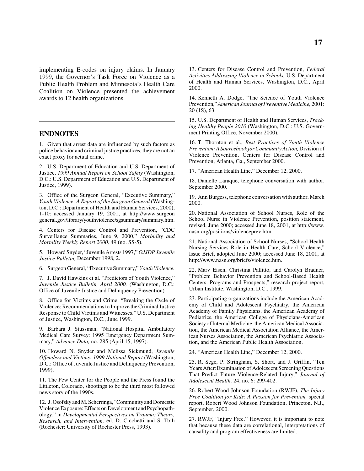implementing E-codes on injury claims. In January 1999, the Governor's Task Force on Violence as a Public Health Problem and Minnesota's Health Care Coalition on Violence presented the achievement awards to 12 health organizations.

#### **ENDNOTES**

1. Given that arrest data are influenced by such factors as police behavior and criminal justice practices, they are not an exact proxy for actual crime.

2. U.S. Department of Education and U.S. Department of Justice, *1999 Annual Report on School Safety* (Washington, D.C.: U.S. Department of Education and U.S. Department of Justice, 1999).

3. Office of the Surgeon General, "Executive Summary," *Youth Violence: A Report of the Surgeon General* (Washington, D.C.: Department of Health and Human Services, 2000), 1-10: accessed January 19, 2001, at http://www.surgeon general.gov/library/youthviolence/sgsummary/summary.htm.

4. Centers for Disease Control and Prevention, "CDC Surveillance Summaries, June 9, 2000," *Morbidity and Mortality Weekly Report 2000,* 49 (no. SS-5).

5. Howard Snyder, "Juvenile Arrests 1997," *OJJDP Juvenile Justice Bulletin,* December 1998, 2.

6. Surgeon General, "Executive Summary," *Youth Violence.*

7. J. David Hawkins et al. "Predictors of Youth Violence," *Juvenile Justice Bulletin, April 2000,* (Washington, D.C.: Office of Juvenile Justice and Delinquency Prevention).

8. Office for Victims and Crime, "Breaking the Cycle of Violence: Recommendations to Improve the Criminal Justice Response to Child Victims and Witnesses." U.S. Department of Justice, Washington, D.C., June 1999.

9. Barbara J. Stussman, "National Hospital Ambulatory Medical Care Survey: 1995 Emergency Department Summary," *Advance Data,* no. 285 (April 15, 1997).

10. Howard N. Snyder and Melissa Sickmund, *Juvenile Offenders and Victims: 1999 National Report* (Washington, D.C.: Office of Juvenile Justice and Delinquency Prevention, 1999).

11. The Pew Center for the People and the Press found the Littleton, Colorado, shootings to be the third most followed news story of the 1990s.

12. J. Osofsky and M. Scherringa, "Community and Domestic Violence Exposure: Effects on Development and Psychopathology," in *Developmental Perspectives on Trauma: Theory, Research, and Intervention,* ed. D. Cicchetti and S. Toth (Rochester: University of Rochester Press, 1993).

13. Centers for Disease Control and Prevention, *Federal Activities Addressing Violence in Schools,* U.S. Department of Health and Human Services, Washington, D.C., April 2000.

14. Kenneth A. Dodge, "The Science of Youth Violence Prevention," *American Journal of Preventive Medicine,* 2001: 20 (1S), 63.

15. U.S. Department of Health and Human Services, *Tracking Healthy People 2010* (Washington, D.C.: U.S. Government Printing Office, November 2000).

16. T. Thornton et al., *Best Practices of Youth Violence Prevention: A Sourcebook for Community Action,* Division of Violence Prevention, Centers for Disease Control and Prevention, Atlanta, Ga., September 2000.

17. "American Health Line," December 12, 2000.

18. Danielle Laraque, telephone conversation with author, September 2000.

19. Ann Burgess, telephone conversation with author, March 2000.

20. National Association of School Nurses, Role of the School Nurse in Violence Prevention, position statement, revised, June 2000; accessed June 18, 2001, at http://www. nasn.org/positions/violenceprev.htm.

21. National Association of School Nurses, "School Health Nursing Services Role in Health Care, School Violence," Issue Brief, adopted June 2000; accessed June 18, 2001, at http://www.nasn.org/briefs/violence.htm.

22. Marv Eisen, Christina Pallitto, and Carolyn Bradner, "Problem Behavior Prevention and School-Based Health Centers: Programs and Prospects," research project report, Urban Institute, Washington, D.C., 1999.

23. Participating organizations include the American Academy of Child and Adolescent Psychiatry, the American Academy of Family Physicians, the American Academy of Pediatrics, the American College of Physicians-American Society of Internal Medicine, the American Medical Association, the American Medical Association Alliance, the American Nurses Association, the American Psychiatric Association, and the American Public Health Association.

24. "American Health Line," December 12, 2000.

25. R. Sege, P. Stringham, S. Short, and J. Griffin, "Ten Years After: Examination of Adolescent Screening Questions That Predict Future Violence-Related Injury," *Journal of Adolescent Health,* 24, no. 6: 299-402.

26. Robert Wood Johnson Foundation (RWJF), *The Injury Free Coalition for Kids: A Passion for Prevention,* special report, Robert Wood Johnson Foundation, Princeton, N.J., September, 2000.

27. RWJF, "Injury Free." However, it is important to note that because these data are correlational, interpretations of causality and program effectiveness are limited.